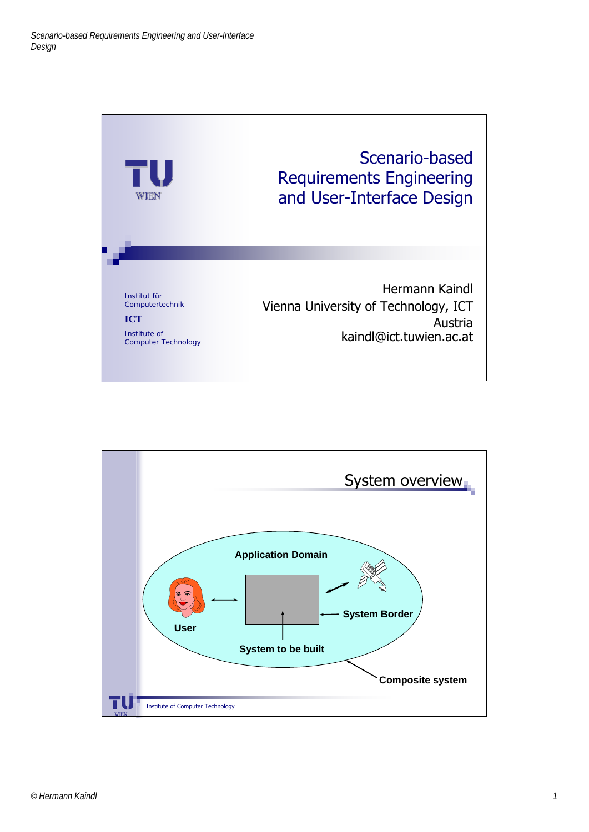

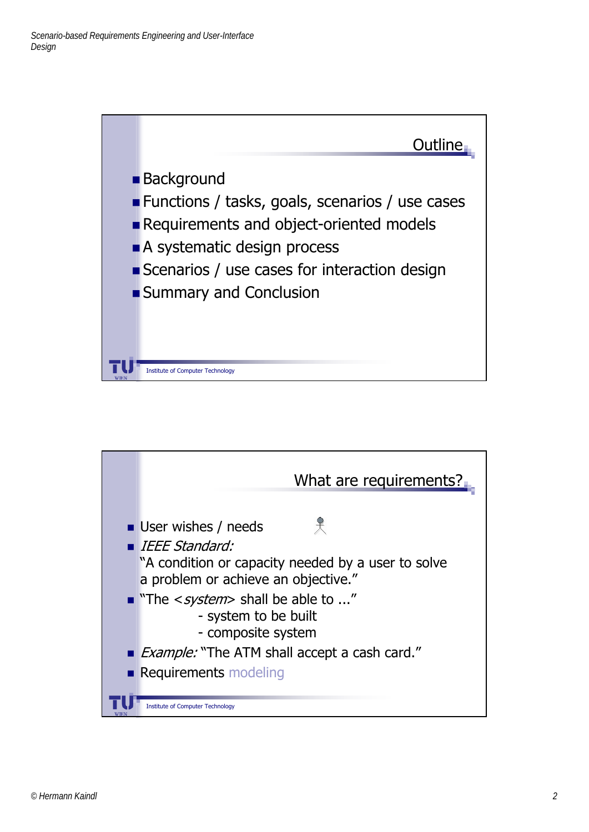

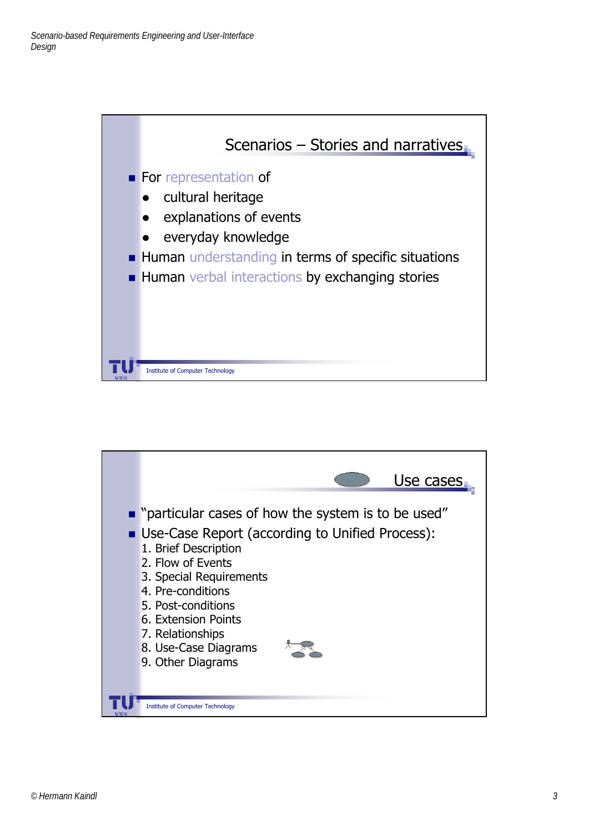

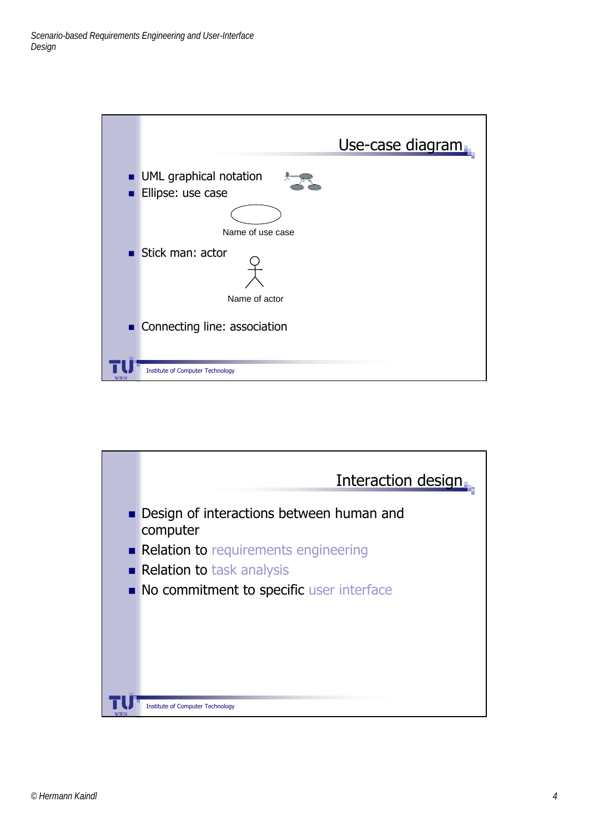

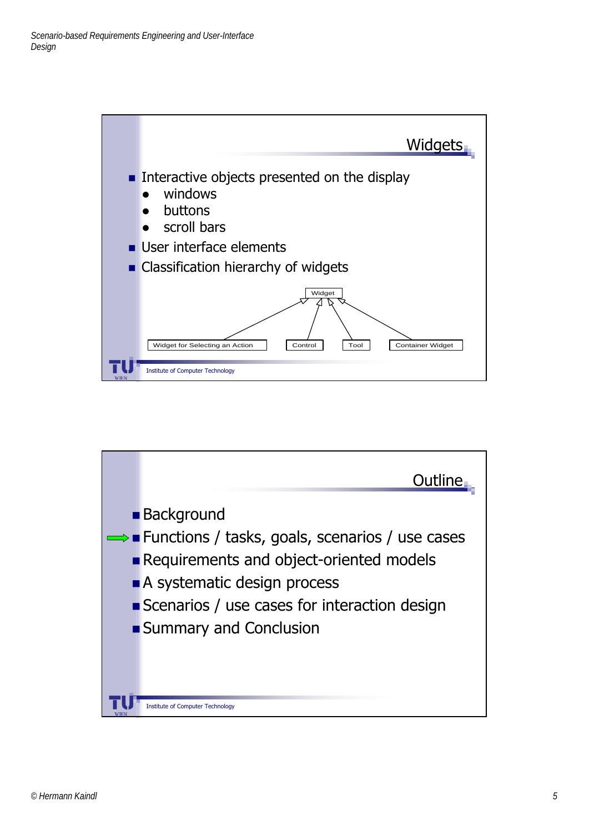

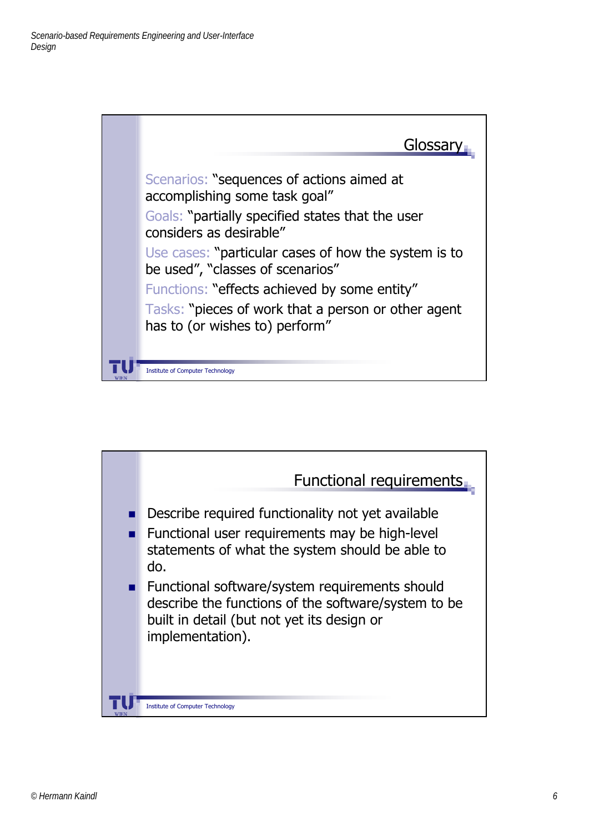

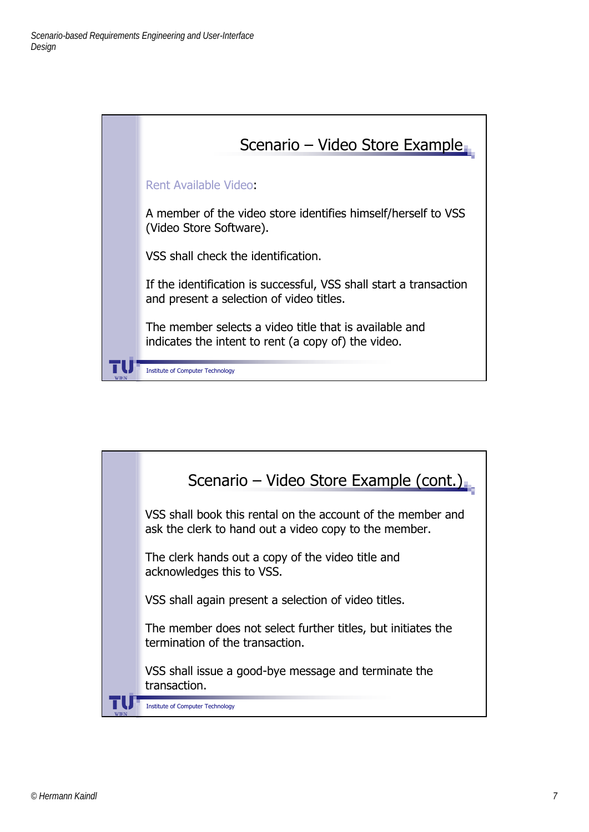

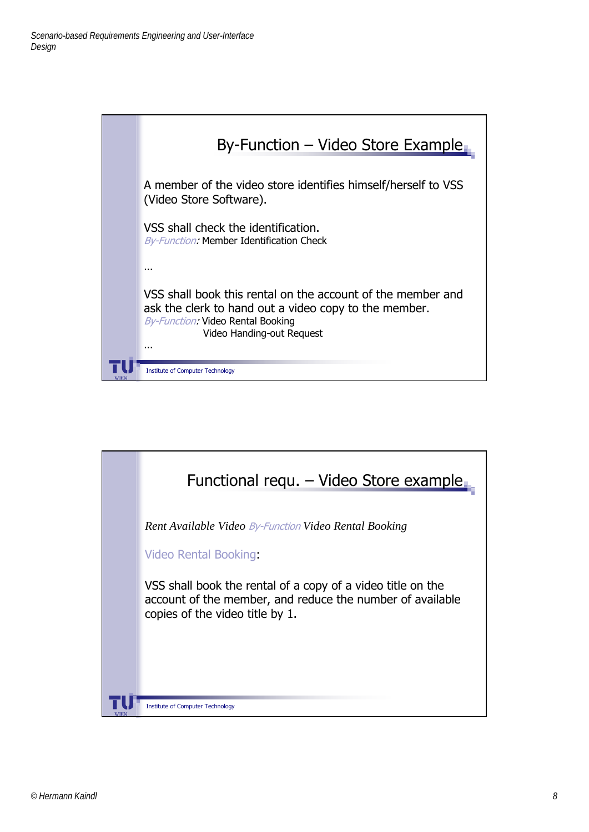

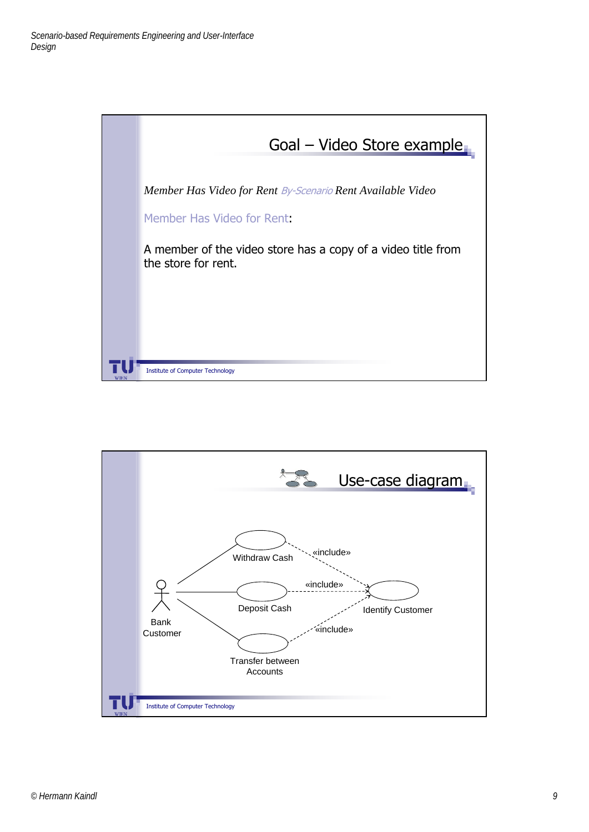

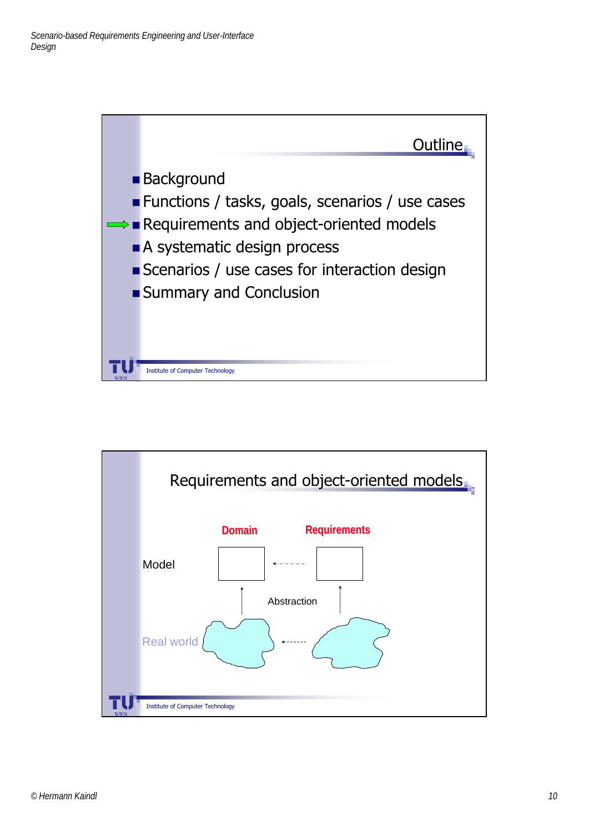

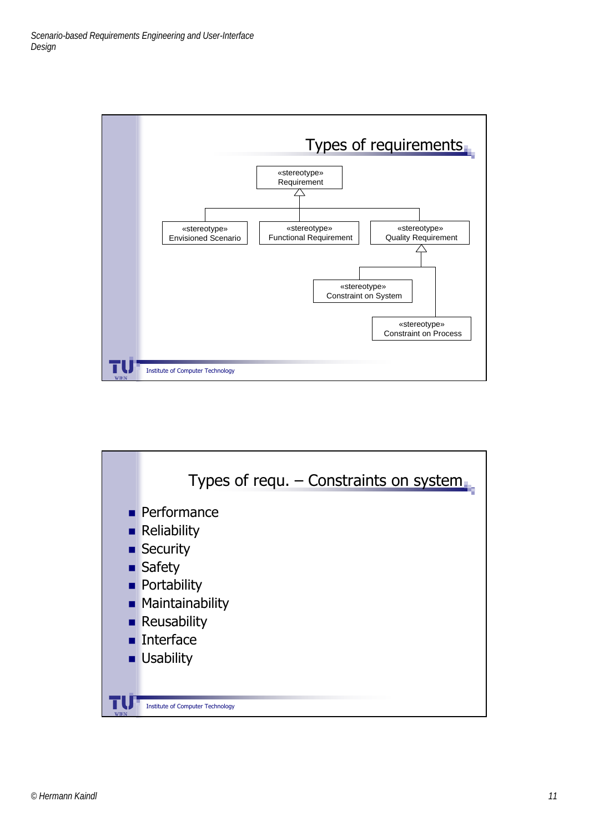

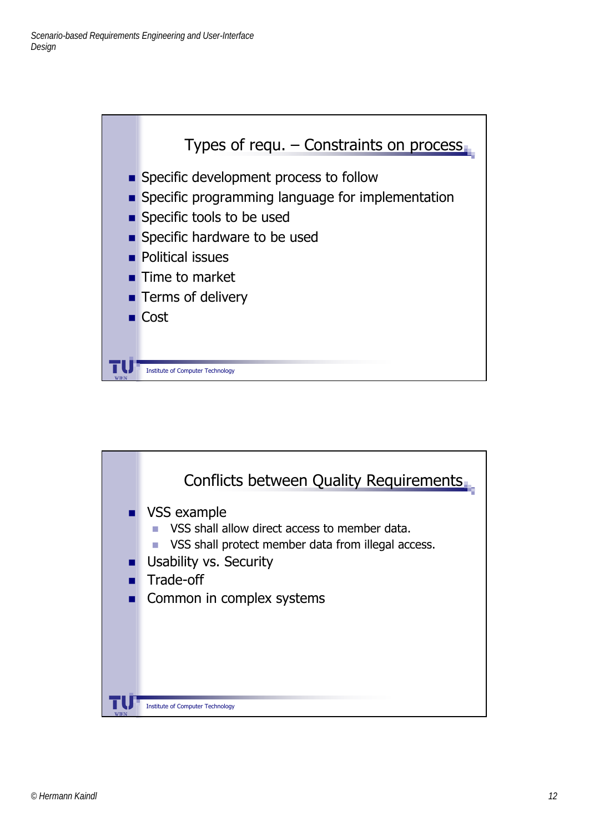

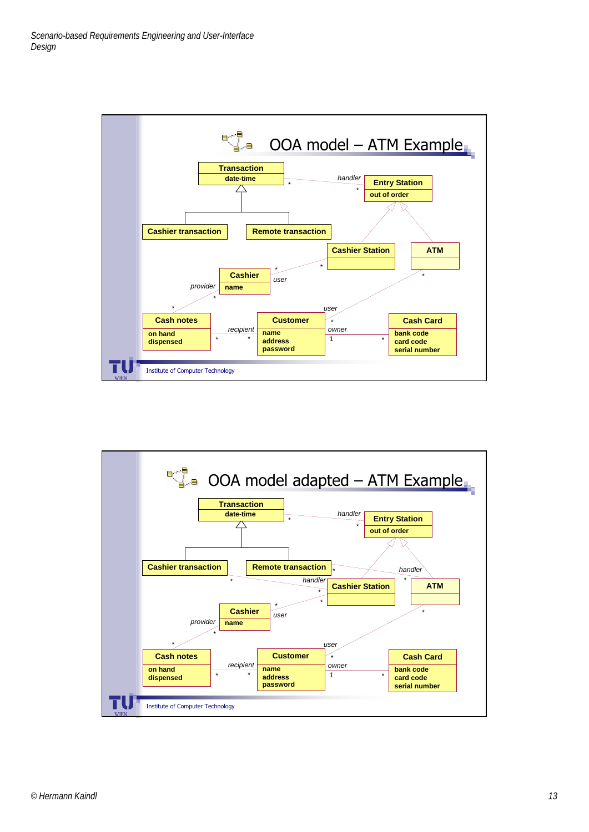

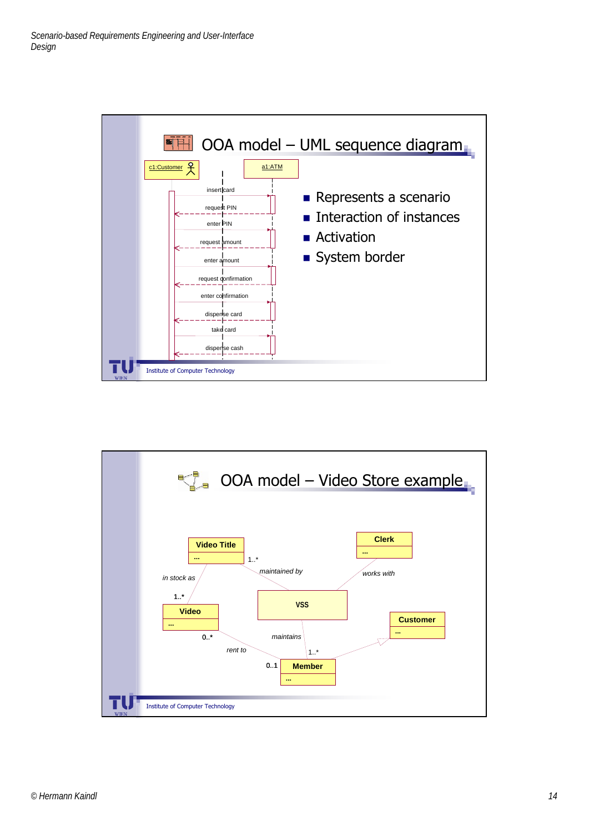

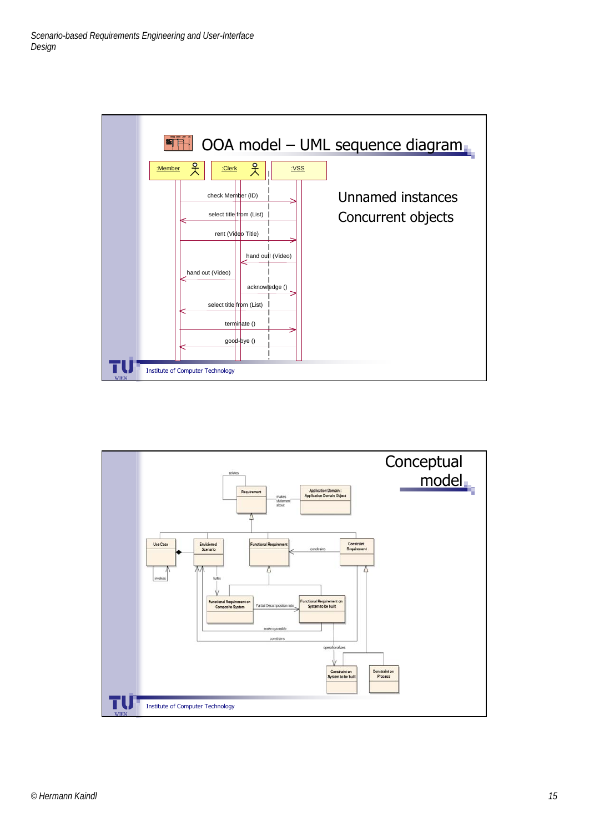

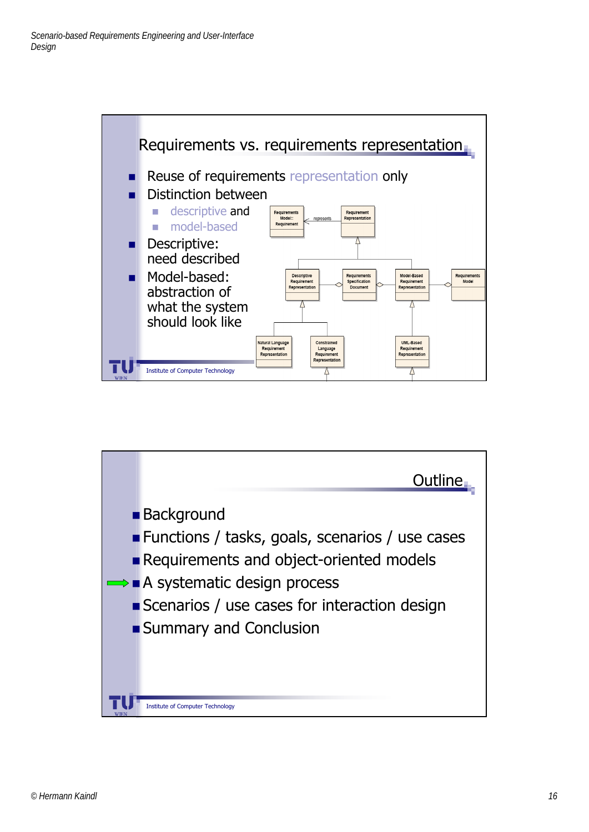

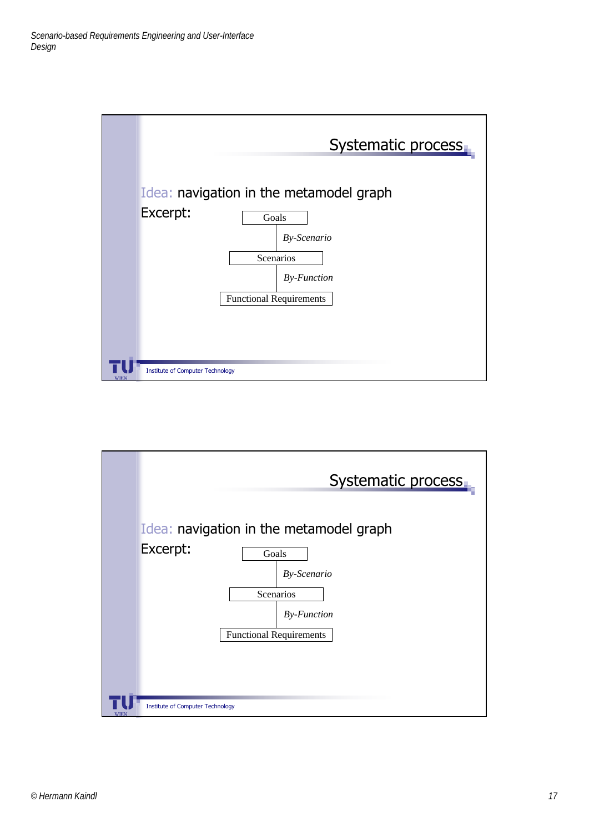

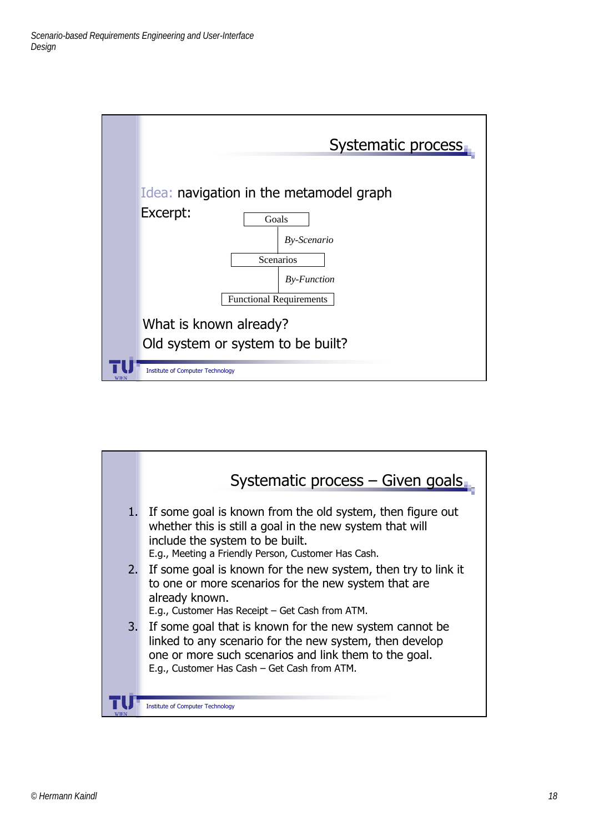

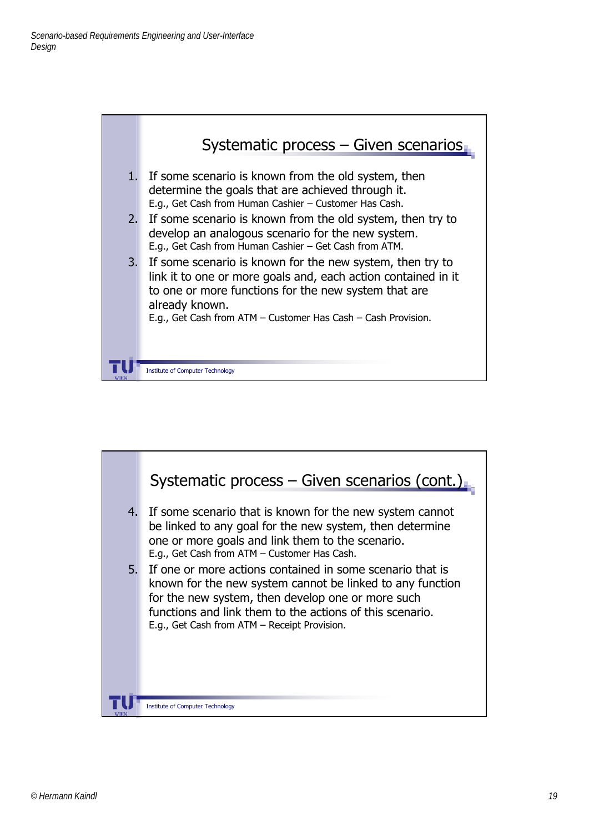

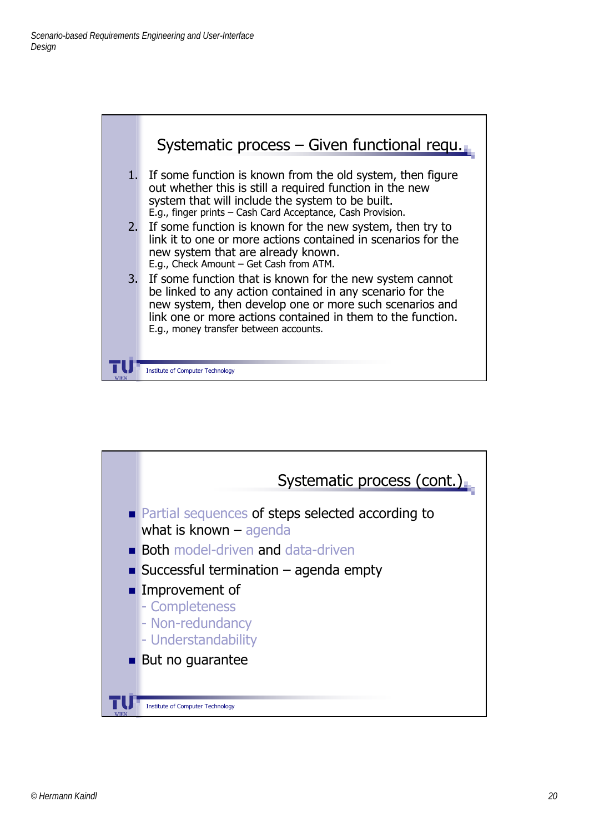

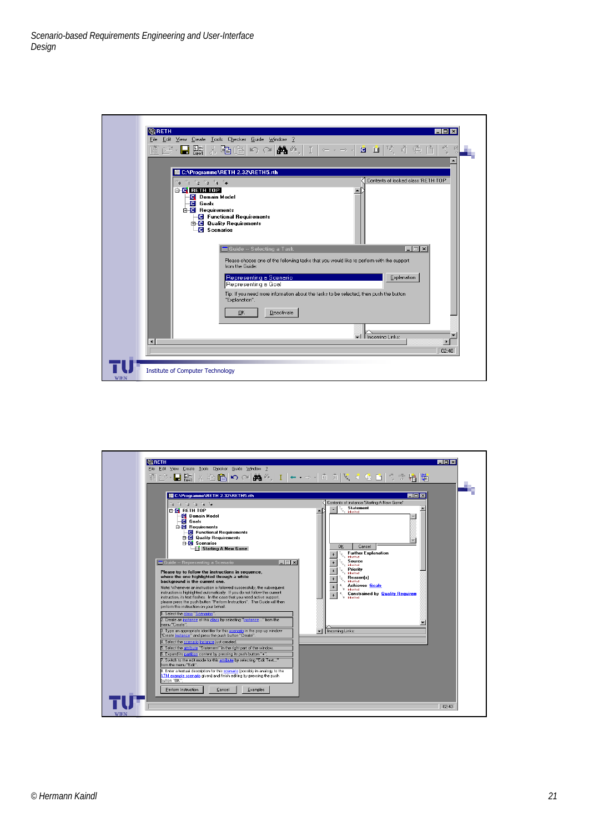

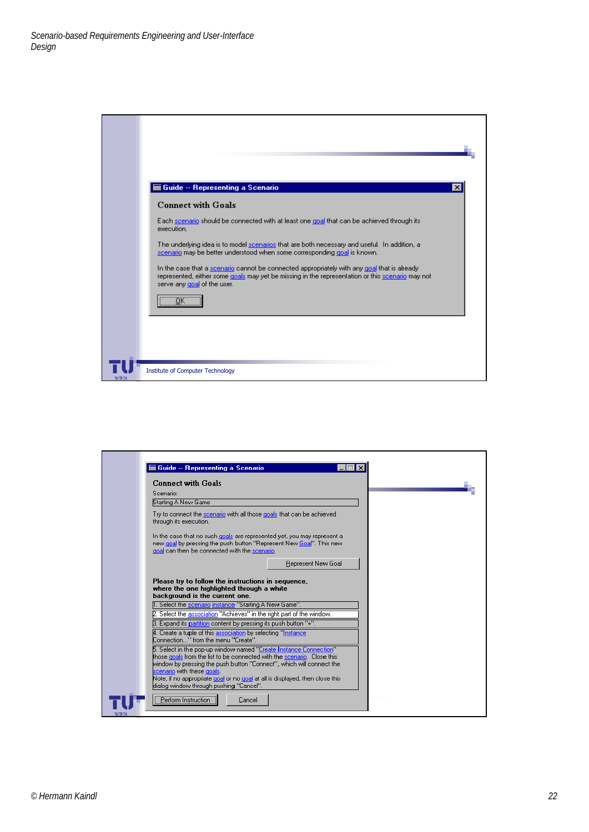| Guide -- Representing a Scenario<br>$\boldsymbol{\times}$                                                                                                                                                                      |  |
|--------------------------------------------------------------------------------------------------------------------------------------------------------------------------------------------------------------------------------|--|
| <b>Connect with Goals</b>                                                                                                                                                                                                      |  |
| Each scenario should be connected with at least one goal that can be achieved through its<br>execution.                                                                                                                        |  |
| The underlying idea is to model scenarios that are both necessary and useful. In addition, a<br>scenario may be better understood when some corresponding goal is known.                                                       |  |
| In the case that a scenario cannot be connected appropriately with any goal that is already<br>represented, either some goals may yet be missing in the representation or this scenario may not<br>serve any goal of the user. |  |
| $\overline{\phantom{a}}$ ok $\overline{\phantom{a}}$                                                                                                                                                                           |  |
|                                                                                                                                                                                                                                |  |
| <b>Institute of Computer Technology</b>                                                                                                                                                                                        |  |

| Guide -- Representing a Scenario                                                                                                                                                                |  |
|-------------------------------------------------------------------------------------------------------------------------------------------------------------------------------------------------|--|
| <b>Connect with Goals</b>                                                                                                                                                                       |  |
| Scenario:                                                                                                                                                                                       |  |
| Starting A New Game                                                                                                                                                                             |  |
| Try to connect the scenario with all those goals that can be achieved<br>through its execution.                                                                                                 |  |
| In the case that no such goals are represented yet, you may represent a<br>new goal by pressing the push button "Represent New Goal". This new<br>goal can then be connected with the scenario. |  |
| Represent New Goal                                                                                                                                                                              |  |
| Please try to follow the instructions in sequence,<br>where the one highlighted through a white<br>background is the current one.                                                               |  |
| 1. Select the scenario instance "Starting A New Game".                                                                                                                                          |  |
| 2. Select the association "Achieves" in the right part of the window.                                                                                                                           |  |
| [3] Expand its partition content by pressing its push button "+".                                                                                                                               |  |
| 4. Create a tuple of this association by selecting "Instance"<br>Connection'' from the menu ''Create''.                                                                                         |  |
| 5. Select in the pop-up window named "Create Instance Connection"                                                                                                                               |  |
| those goals from the list to be connected with the scenario. Close this<br>window by pressing the push button "Connect", which will connect the                                                 |  |
| scenario with these goals.                                                                                                                                                                      |  |
| Note, if no appropriate goal or no goal at all is displayed, then close this<br>dialog window through pushing "Cancel".                                                                         |  |
| Perform Instruction<br>Cancel                                                                                                                                                                   |  |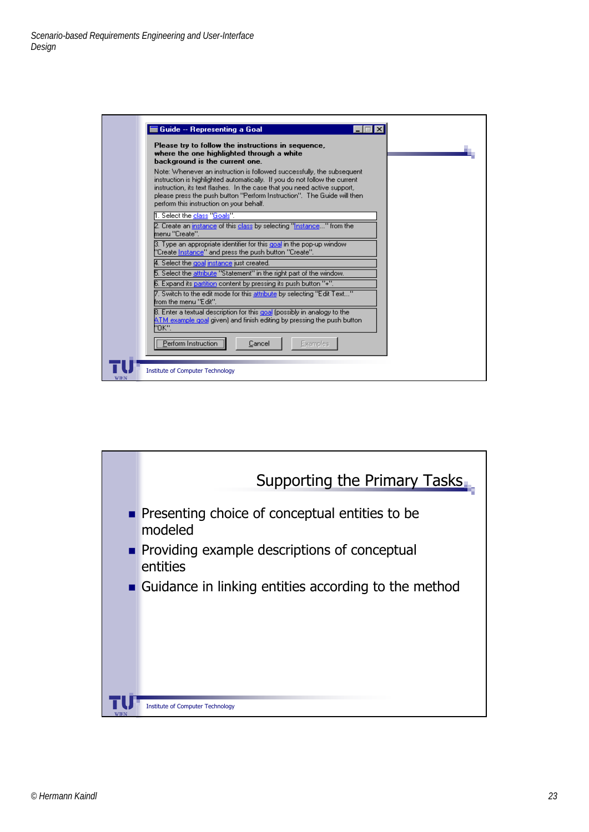

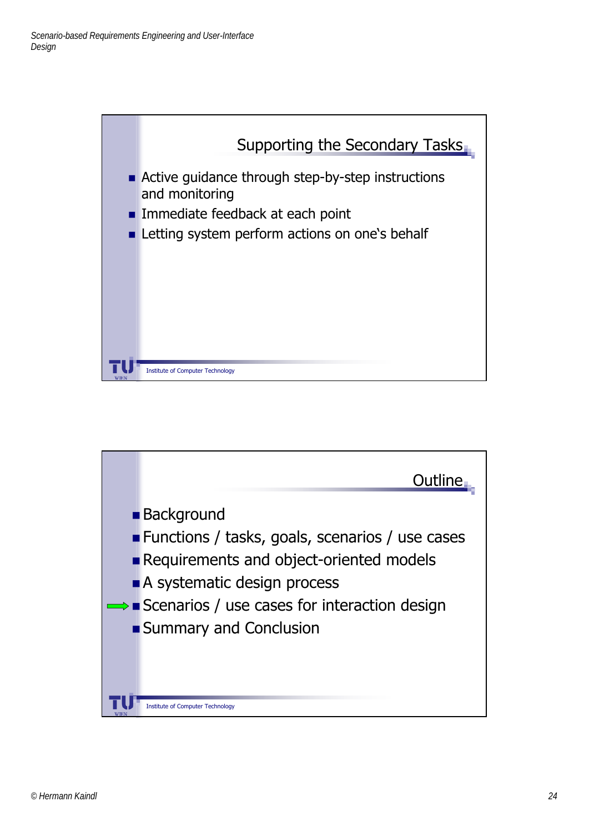

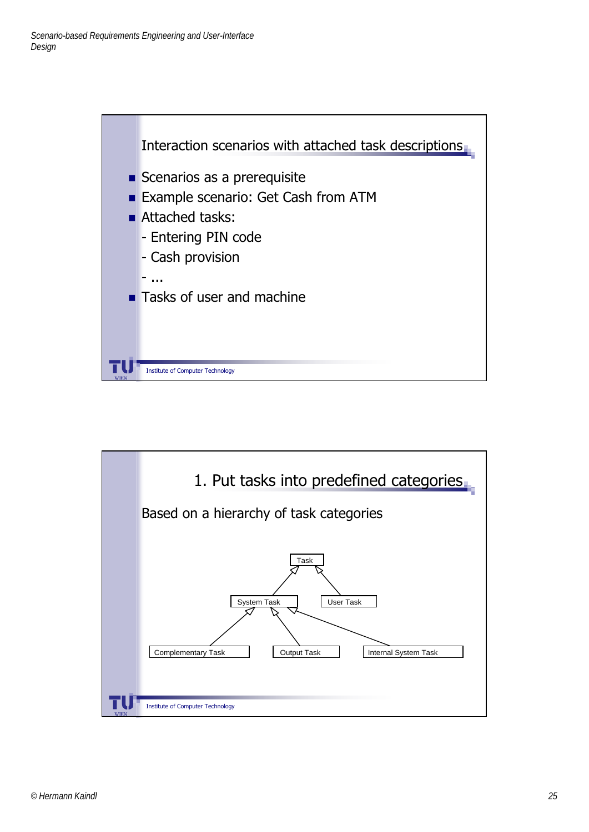

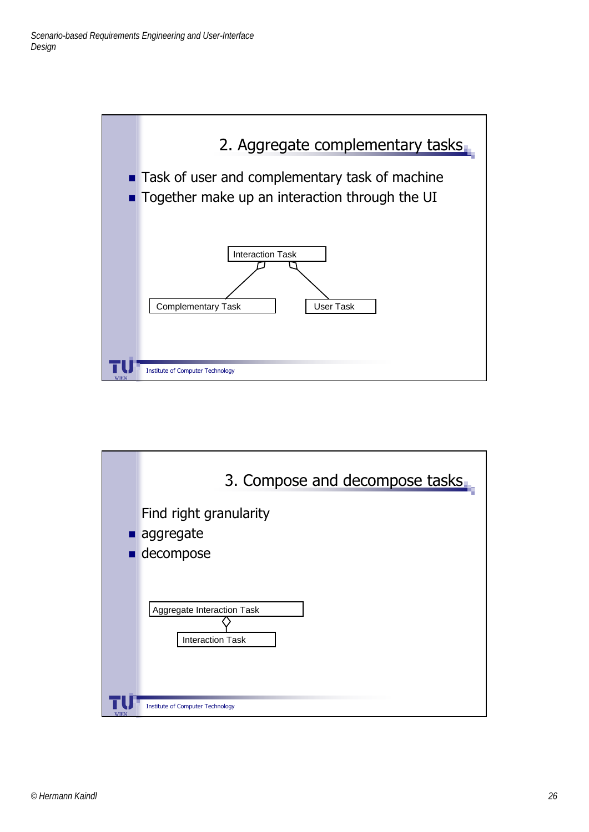

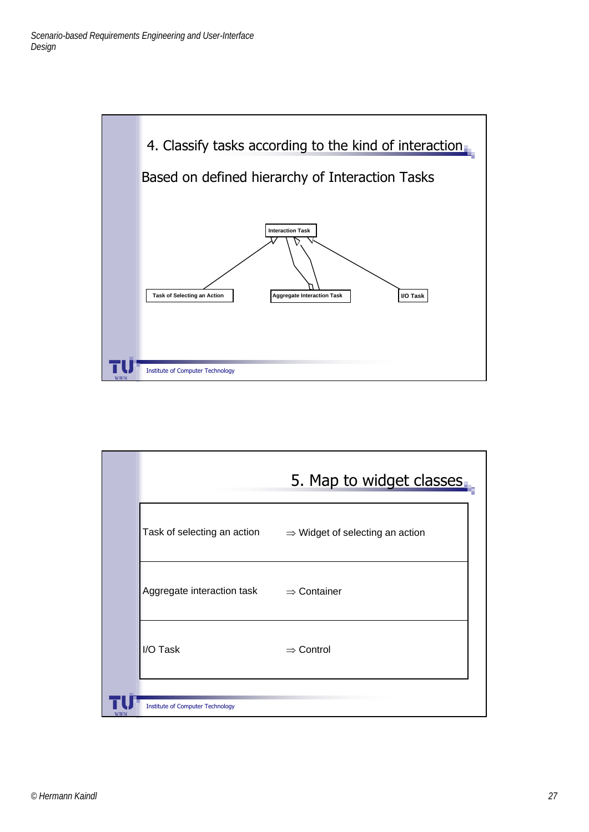

|             |                                         | 5. Map to widget classes                    |
|-------------|-----------------------------------------|---------------------------------------------|
|             | Task of selecting an action             | $\Rightarrow$ Widget of selecting an action |
|             | Aggregate interaction task              | $\Rightarrow$ Container                     |
|             | I/O Task                                | $\Rightarrow$ Control                       |
| <b>WIEN</b> | <b>Institute of Computer Technology</b> |                                             |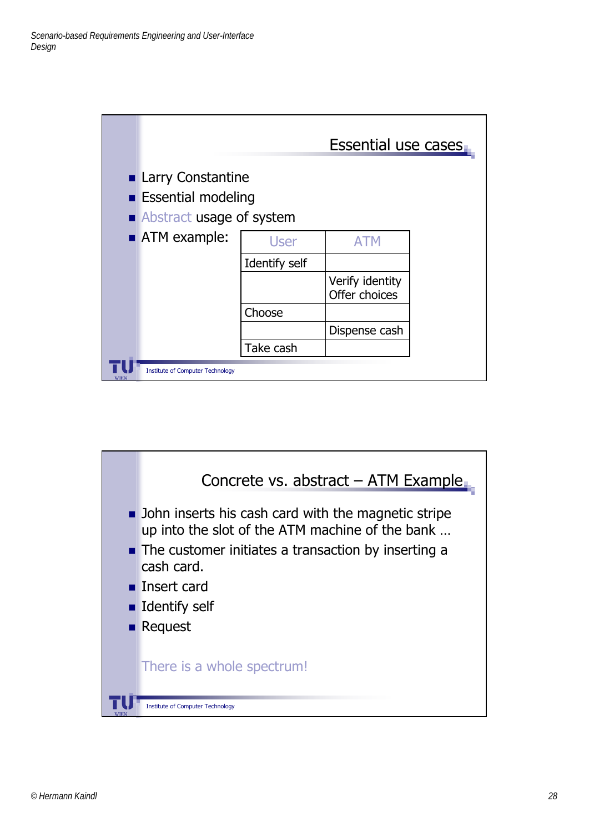|      |                                                                                   |               | <b>Essential use cases</b>       |  |
|------|-----------------------------------------------------------------------------------|---------------|----------------------------------|--|
|      | <b>Larry Constantine</b><br><b>Essential modeling</b><br>Abstract usage of system |               |                                  |  |
|      | ATM example:                                                                      | <b>User</b>   | <b>ATM</b>                       |  |
|      |                                                                                   | Identify self |                                  |  |
|      |                                                                                   |               | Verify identity<br>Offer choices |  |
|      |                                                                                   | Choose        |                                  |  |
|      |                                                                                   |               | Dispense cash                    |  |
|      |                                                                                   | Take cash     |                                  |  |
| WIEN | <b>Institute of Computer Technology</b>                                           |               |                                  |  |

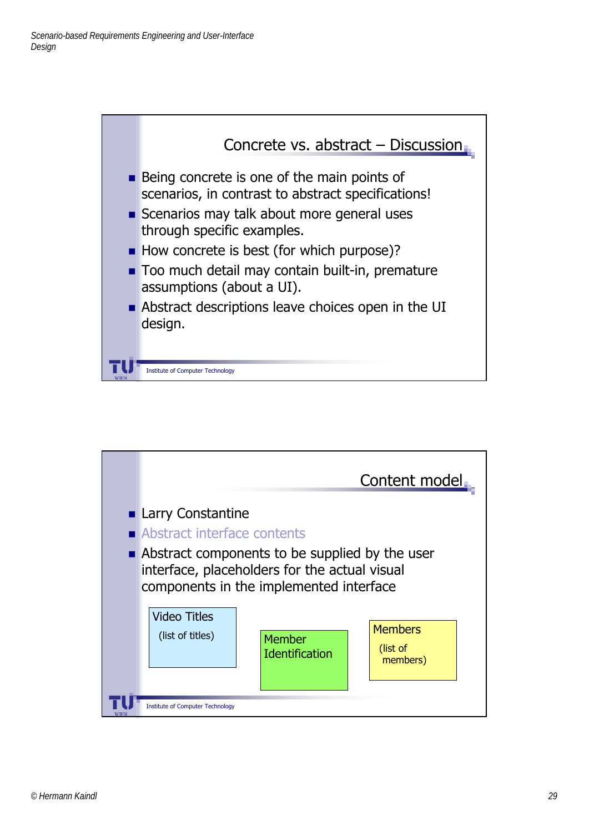

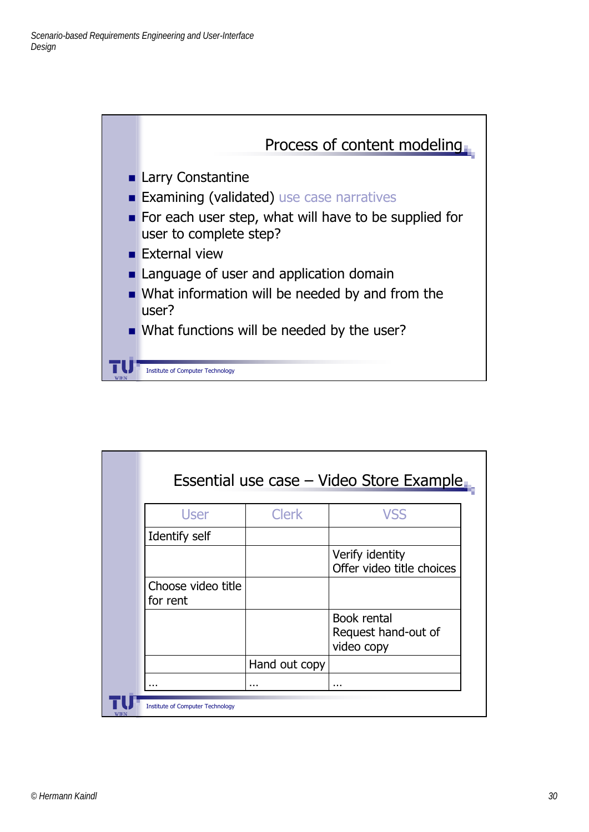

| Essential use case – Video Store Example |               |                                                  |
|------------------------------------------|---------------|--------------------------------------------------|
| User                                     | <b>Clerk</b>  | <b>VSS</b>                                       |
| Identify self                            |               |                                                  |
|                                          |               | Verify identity<br>Offer video title choices     |
| Choose video title<br>for rent           |               |                                                  |
|                                          |               | Book rental<br>Request hand-out of<br>video copy |
|                                          | Hand out copy |                                                  |
|                                          | .             |                                                  |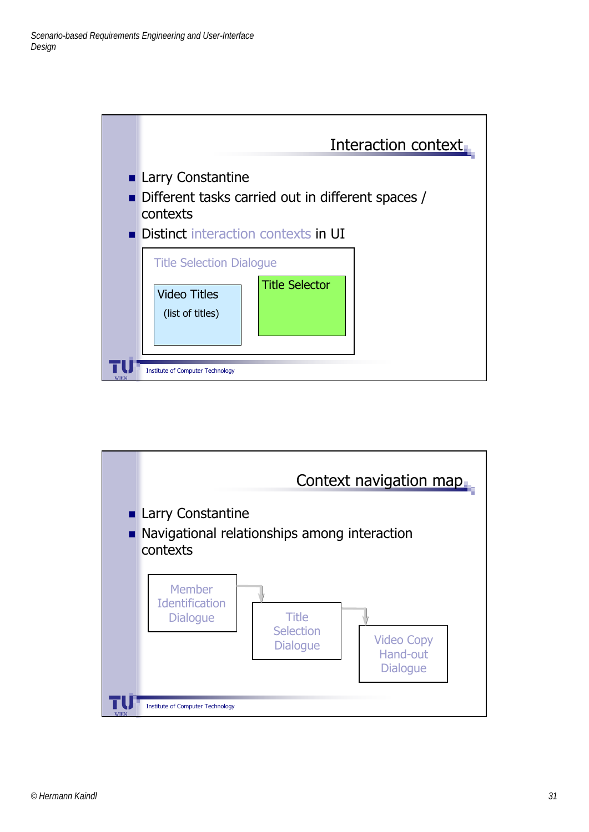

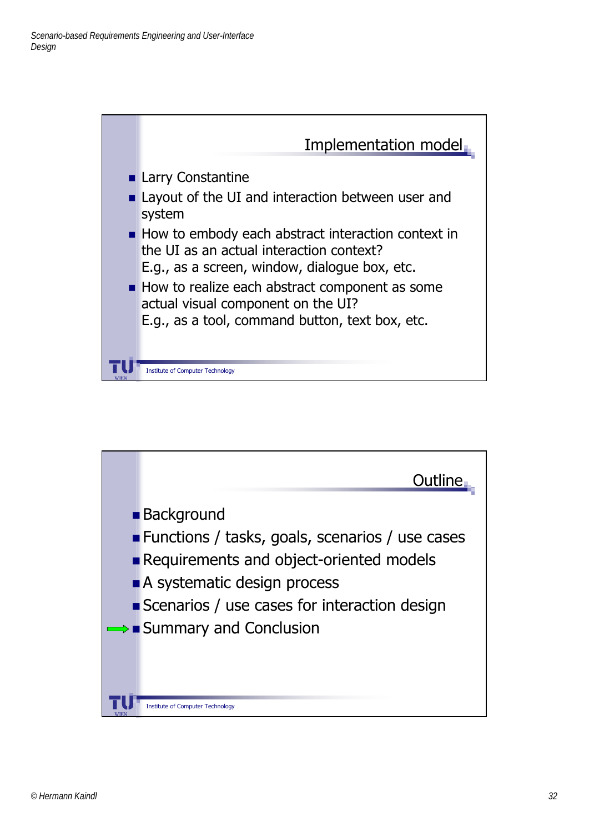

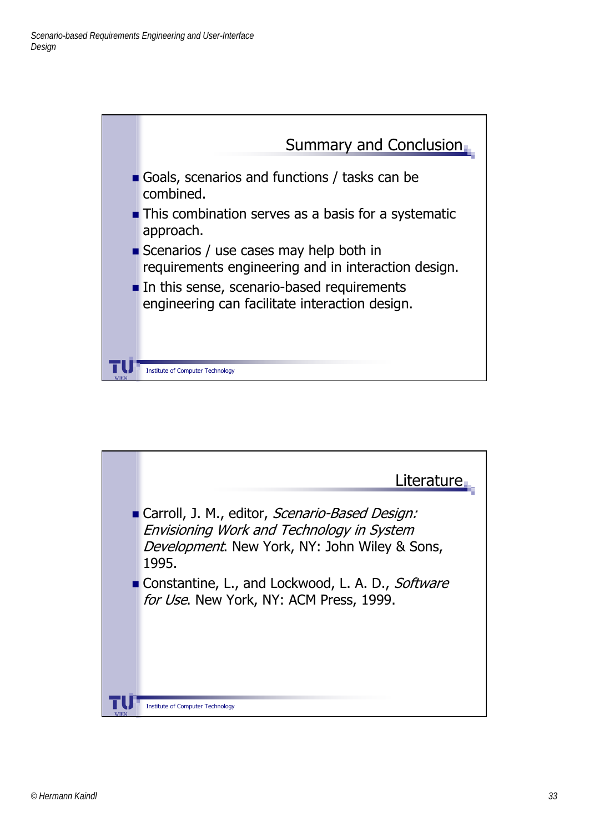